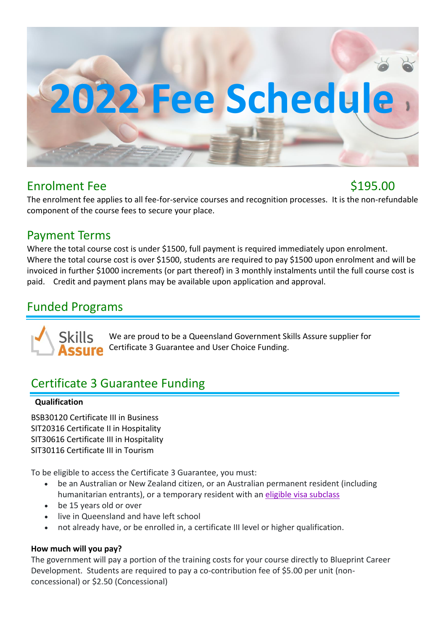

## Enrolment Fee \$195.00

The enrolment fee applies to all fee-for-service courses and recognition processes. It is the non-refundable component of the course fees to secure your place.

### Payment Terms

Where the total course cost is under \$1500, full payment is required immediately upon enrolment. Where the total course cost is over \$1500, students are required to pay \$1500 upon enrolment and will be invoiced in further \$1000 increments (or part thereof) in 3 monthly instalments until the full course cost is paid. Credit and payment plans may be available upon application and approval.

# Funded Programs

We are proud to be a Queensland Government Skills Assure supplier for Certificate 3 Guarantee and User Choice Funding.

# Certificate 3 Guarantee Funding

#### **Qualification**

BSB30120 Certificate III in Business SIT20316 Certificate II in Hospitality SIT30616 Certificate III in Hospitality SIT30116 Certificate III in Tourism

To be eligible to access the Certificate 3 Guarantee, you must:

- be an Australian or New Zealand citizen, or an Australian permanent resident (including humanitarian entrants), or a temporary resident with an [eligible visa subclass](https://desbt.qld.gov.au/training/training-careers/support/migrants-refugees)
- be 15 years old or over
- live in Queensland and have left school
- not already have, or be enrolled in, a certificate III level or higher qualification.

#### **How much will you pay?**

The government will pay a portion of the training costs for your course directly to Blueprint Career Development. Students are required to pay a co-contribution fee of \$5.00 per unit (nonconcessional) or \$2.50 (Concessional)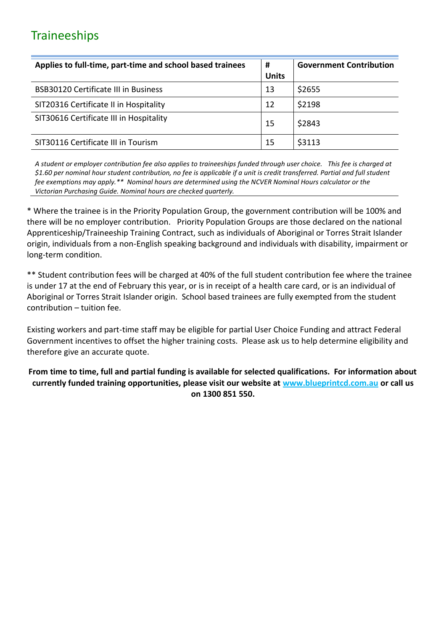# **Traineeships**

| Applies to full-time, part-time and school based trainees | #            | <b>Government Contribution</b> |  |
|-----------------------------------------------------------|--------------|--------------------------------|--|
|                                                           | <b>Units</b> |                                |  |
| <b>BSB30120 Certificate III in Business</b>               | 13           | \$2655                         |  |
| SIT20316 Certificate II in Hospitality                    | 12           | \$2198                         |  |
| SIT30616 Certificate III in Hospitality                   | 15           | \$2843                         |  |
| SIT30116 Certificate III in Tourism                       | 15           | \$3113                         |  |

*A student or employer contribution fee also applies to traineeships funded through user choice. This fee is charged at \$1.60 per nominal hour student contribution, no fee is applicable if a unit is credit transferred. Partial and full student fee exemptions may apply.\*\* Nominal hours are determined using the NCVER Nominal Hours calculator or the Victorian Purchasing Guide. Nominal hours are checked quarterly.*

\* Where the trainee is in the Priority Population Group, the government contribution will be 100% and there will be no employer contribution. Priority Population Groups are those declared on the national Apprenticeship/Traineeship Training Contract, such as individuals of Aboriginal or Torres Strait Islander origin, individuals from a non-English speaking background and individuals with disability, impairment or long-term condition.

\*\* Student contribution fees will be charged at 40% of the full student contribution fee where the trainee is under 17 at the end of February this year, or is in receipt of a health care card, or is an individual of Aboriginal or Torres Strait Islander origin. School based trainees are fully exempted from the student contribution – tuition fee.

Existing workers and part-time staff may be eligible for partial User Choice Funding and attract Federal Government incentives to offset the higher training costs. Please ask us to help determine eligibility and therefore give an accurate quote.

#### **From time to time, full and partial funding is available for selected qualifications. For information about currently funded training opportunities, please visit our website at [www.blueprintcd.com.au](http://www.blueprintcd.com.au/) or call us on 1300 851 550.**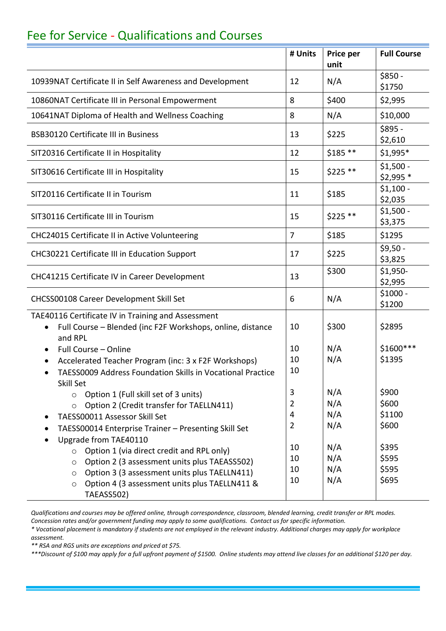# Fee for Service - Qualifications and Courses

|                                                                                                                                          | # Units        | Price per<br>unit | <b>Full Course</b>       |
|------------------------------------------------------------------------------------------------------------------------------------------|----------------|-------------------|--------------------------|
| 10939NAT Certificate II in Self Awareness and Development                                                                                | 12             | N/A               | $$850 -$<br>\$1750       |
| 10860NAT Certificate III in Personal Empowerment                                                                                         | 8              | \$400             | \$2,995                  |
| 10641NAT Diploma of Health and Wellness Coaching                                                                                         | 8              | N/A               | \$10,000                 |
| <b>BSB30120 Certificate III in Business</b>                                                                                              | 13             | \$225             | $$895 -$<br>\$2,610      |
| SIT20316 Certificate II in Hospitality                                                                                                   | 12             | $$185$ **         | \$1,995*                 |
| SIT30616 Certificate III in Hospitality                                                                                                  | 15             | $$225 **$         | $$1,500 -$<br>$$2,995$ * |
| SIT20116 Certificate II in Tourism                                                                                                       | 11             | \$185             | $$1,100 -$<br>\$2,035    |
| SIT30116 Certificate III in Tourism                                                                                                      | 15             | $$225 **$         | $$1,500 -$<br>\$3,375    |
| CHC24015 Certificate II in Active Volunteering                                                                                           | $\overline{7}$ | \$185             | \$1295                   |
| CHC30221 Certificate III in Education Support                                                                                            | 17             | \$225             | $$9,50 -$<br>\$3,825     |
| CHC41215 Certificate IV in Career Development                                                                                            | 13             | \$300             | \$1,950-<br>\$2,995      |
| CHCSS00108 Career Development Skill Set                                                                                                  | 6              | N/A               | $$1000 -$<br>\$1200      |
| TAE40116 Certificate IV in Training and Assessment<br>Full Course - Blended (inc F2F Workshops, online, distance<br>$\bullet$<br>and RPL | 10             | \$300             | \$2895                   |
| Full Course - Online<br>$\bullet$                                                                                                        | 10             | N/A               | \$1600 ***               |
| Accelerated Teacher Program (inc: 3 x F2F Workshops)<br>$\bullet$                                                                        | 10             | N/A               | \$1395                   |
| TAESS0009 Address Foundation Skills in Vocational Practice                                                                               | 10             |                   |                          |
| Skill Set<br>Option 1 (Full skill set of 3 units)<br>$\circ$                                                                             | 3              | N/A               | \$900                    |
| Option 2 (Credit transfer for TAELLN411)<br>$\circ$                                                                                      | $\overline{2}$ | N/A               | \$600                    |
| TAESS00011 Assessor Skill Set                                                                                                            | 4              | N/A               | \$1100                   |
| TAESS00014 Enterprise Trainer - Presenting Skill Set                                                                                     | $\overline{2}$ | N/A               | \$600                    |
| Upgrade from TAE40110                                                                                                                    |                |                   |                          |
| Option 1 (via direct credit and RPL only)<br>$\circ$                                                                                     | 10             | N/A               | \$395                    |
| Option 2 (3 assessment units plus TAEASS502)<br>$\circ$                                                                                  | 10             | N/A               | \$595                    |
| Option 3 (3 assessment units plus TAELLN411)<br>$\circ$                                                                                  | 10             | N/A               | \$595                    |
| Option 4 (3 assessment units plus TAELLN411 &<br>$\circ$<br>TAEASS502)                                                                   | 10             | N/A               | \$695                    |

*Qualifications and courses may be offered online, through correspondence, classroom, blended learning, credit transfer or RPL modes. Concession rates and/or government funding may apply to some qualifications. Contact us for specific information.*

*\* Vocational placement is mandatory if students are not employed in the relevant industry. Additional charges may apply for workplace assessment.*

*\*\* RSA and RGS units are exceptions and priced at \$75.*

*\*\*\*Discount of \$100 may apply for a full upfront payment of \$1500. Online students may attend live classes for an additional \$120 per day.*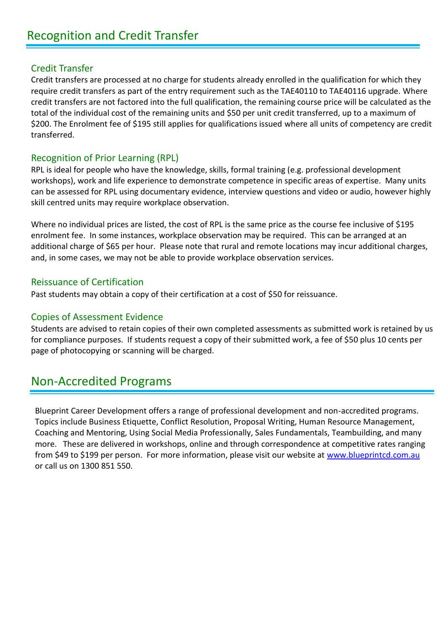#### Credit Transfer

Credit transfers are processed at no charge for students already enrolled in the qualification for which they require credit transfers as part of the entry requirement such as the TAE40110 to TAE40116 upgrade. Where credit transfers are not factored into the full qualification, the remaining course price will be calculated as the total of the individual cost of the remaining units and \$50 per unit credit transferred, up to a maximum of \$200. The Enrolment fee of \$195 still applies for qualifications issued where all units of competency are credit transferred.

#### Recognition of Prior Learning (RPL)

RPL is ideal for people who have the knowledge, skills, formal training (e.g. professional development workshops), work and life experience to demonstrate competence in specific areas of expertise. Many units can be assessed for RPL using documentary evidence, interview questions and video or audio, however highly skill centred units may require workplace observation.

Where no individual prices are listed, the cost of RPL is the same price as the course fee inclusive of \$195 enrolment fee. In some instances, workplace observation may be required. This can be arranged at an additional charge of \$65 per hour. Please note that rural and remote locations may incur additional charges, and, in some cases, we may not be able to provide workplace observation services.

#### Reissuance of Certification

Past students may obtain a copy of their certification at a cost of \$50 for reissuance.

#### Copies of Assessment Evidence

Students are advised to retain copies of their own completed assessments as submitted work is retained by us for compliance purposes. If students request a copy of their submitted work, a fee of \$50 plus 10 cents per page of photocopying or scanning will be charged.

## Non-Accredited Programs

Blueprint Career Development offers a range of professional development and non-accredited programs. Topics include Business Etiquette, Conflict Resolution, Proposal Writing, Human Resource Management, Coaching and Mentoring, Using Social Media Professionally, Sales Fundamentals, Teambuilding, and many more. These are delivered in workshops, online and through correspondence at competitive rates ranging from \$49 to \$199 per person. For more information, please visit our website at [www.blueprintcd.com.au](http://www.blueprintcd.com.au/) or call us on 1300 851 550.